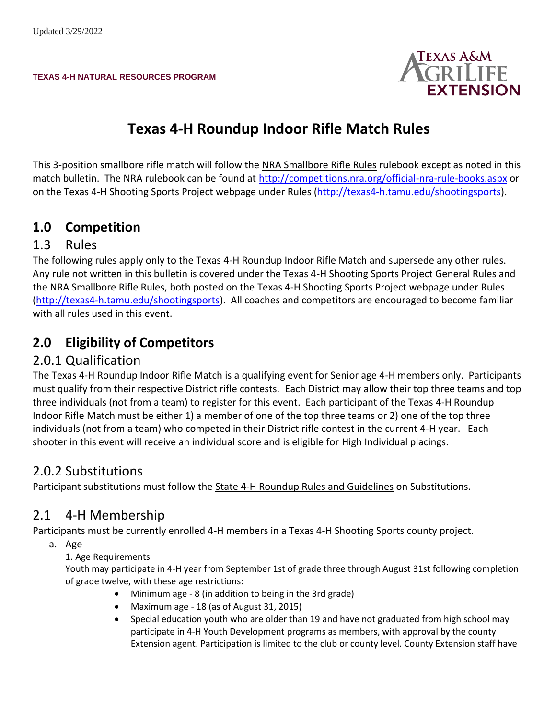**TEXAS 4-H NATURAL RESOURCES PROGRAM**



# **Texas 4-H Roundup Indoor Rifle Match Rules**

This 3-position smallbore rifle match will follow the NRA Smallbore Rifle Rules rulebook except as noted in this match bulletin. The NRA rulebook can be found at<http://competitions.nra.org/official-nra-rule-books.aspx> or on the Texas 4-H Shooting Sports Project webpage under Rules [\(http://texas4-h.tamu.edu/shootingsports\)](http://texas4-h.tamu.edu/shootingsports).

### **1.0 Competition**

#### 1.3 Rules

The following rules apply only to the Texas 4-H Roundup Indoor Rifle Match and supersede any other rules. Any rule not written in this bulletin is covered under the Texas 4-H Shooting Sports Project General Rules and the NRA Smallbore Rifle Rules, both posted on the Texas 4-H Shooting Sports Project webpage under Rules [\(http://texas4-h.tamu.edu/shootingsports\)](http://texas4-h.tamu.edu/shootingsports). All coaches and competitors are encouraged to become familiar with all rules used in this event.

# **2.0 Eligibility of Competitors**

#### 2.0.1 Qualification

The Texas 4-H Roundup Indoor Rifle Match is a qualifying event for Senior age 4-H members only. Participants must qualify from their respective District rifle contests. Each District may allow their top three teams and top three individuals (not from a team) to register for this event. Each participant of the Texas 4-H Roundup Indoor Rifle Match must be either 1) a member of one of the top three teams or 2) one of the top three individuals (not from a team) who competed in their District rifle contest in the current 4-H year. Each shooter in this event will receive an individual score and is eligible for High Individual placings.

#### 2.0.2 Substitutions

Participant substitutions must follow the State 4-H Roundup Rules and Guidelines on Substitutions.

### 2.1 4-H Membership

Participants must be currently enrolled 4-H members in a Texas 4-H Shooting Sports county project.

- a. Age
	- 1. Age Requirements

Youth may participate in 4-H year from September 1st of grade three through August 31st following completion of grade twelve, with these age restrictions:

- Minimum age 8 (in addition to being in the 3rd grade)
- Maximum age 18 (as of August 31, 2015)
- Special education youth who are older than 19 and have not graduated from high school may participate in 4-H Youth Development programs as members, with approval by the county Extension agent. Participation is limited to the club or county level. County Extension staff have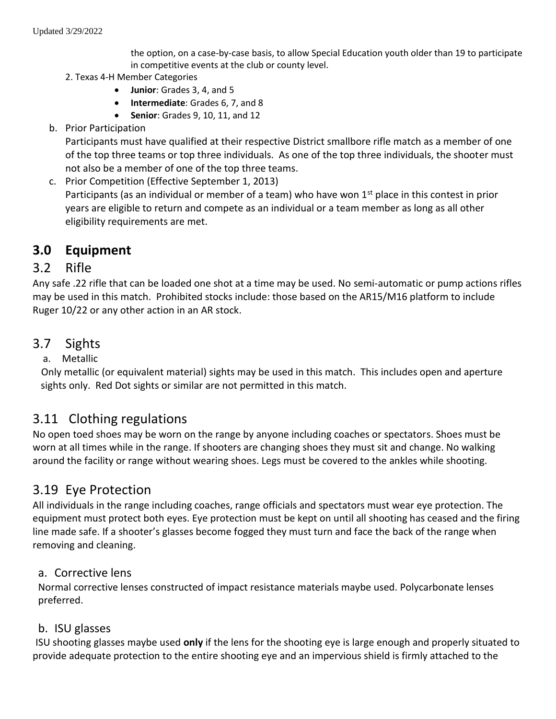the option, on a case-by-case basis, to allow Special Education youth older than 19 to participate in competitive events at the club or county level.

- 2. Texas 4-H Member Categories
	- **Junior**: Grades 3, 4, and 5
	- **Intermediate**: Grades 6, 7, and 8
	- **Senior**: Grades 9, 10, 11, and 12
- b. Prior Participation

Participants must have qualified at their respective District smallbore rifle match as a member of one of the top three teams or top three individuals. As one of the top three individuals, the shooter must not also be a member of one of the top three teams.

c. Prior Competition (Effective September 1, 2013) Participants (as an individual or member of a team) who have won  $1<sup>st</sup>$  place in this contest in prior years are eligible to return and compete as an individual or a team member as long as all other eligibility requirements are met.

### **3.0 Equipment**

#### 3.2 Rifle

Any safe .22 rifle that can be loaded one shot at a time may be used. No semi-automatic or pump actions rifles may be used in this match. Prohibited stocks include: those based on the AR15/M16 platform to include Ruger 10/22 or any other action in an AR stock.

#### 3.7 Sights

#### a. Metallic

 Only metallic (or equivalent material) sights may be used in this match. This includes open and aperture sights only. Red Dot sights or similar are not permitted in this match.

#### 3.11 Clothing regulations

No open toed shoes may be worn on the range by anyone including coaches or spectators. Shoes must be worn at all times while in the range. If shooters are changing shoes they must sit and change. No walking around the facility or range without wearing shoes. Legs must be covered to the ankles while shooting.

### 3.19 Eye Protection

All individuals in the range including coaches, range officials and spectators must wear eye protection. The equipment must protect both eyes. Eye protection must be kept on until all shooting has ceased and the firing line made safe. If a shooter's glasses become fogged they must turn and face the back of the range when removing and cleaning.

#### a. Corrective lens

Normal corrective lenses constructed of impact resistance materials maybe used. Polycarbonate lenses preferred.

#### b. ISU glasses

ISU shooting glasses maybe used **only** if the lens for the shooting eye is large enough and properly situated to provide adequate protection to the entire shooting eye and an impervious shield is firmly attached to the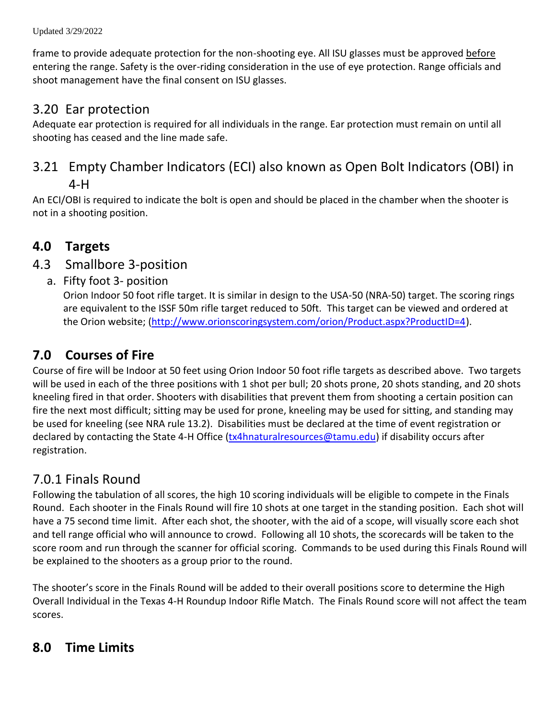frame to provide adequate protection for the non-shooting eye. All ISU glasses must be approved before entering the range. Safety is the over-riding consideration in the use of eye protection. Range officials and shoot management have the final consent on ISU glasses.

### 3.20 Ear protection

Adequate ear protection is required for all individuals in the range. Ear protection must remain on until all shooting has ceased and the line made safe.

## 3.21 Empty Chamber Indicators (ECI) also known as Open Bolt Indicators (OBI) in 4-H

An ECI/OBI is required to indicate the bolt is open and should be placed in the chamber when the shooter is not in a shooting position.

### **4.0 Targets**

- 4.3 Smallbore 3-position
	- a. Fifty foot 3- position

Orion Indoor 50 foot rifle target. It is similar in design to the USA-50 (NRA-50) target. The scoring rings are equivalent to the ISSF 50m rifle target reduced to 50ft. This target can be viewed and ordered at the Orion website; [\(http://www.orionscoringsystem.com/orion/Product.aspx?ProductID=4\)](http://www.orionscoringsystem.com/orion/Product.aspx?ProductID=4).

# **7.0 Courses of Fire**

Course of fire will be Indoor at 50 feet using Orion Indoor 50 foot rifle targets as described above. Two targets will be used in each of the three positions with 1 shot per bull; 20 shots prone, 20 shots standing, and 20 shots kneeling fired in that order. Shooters with disabilities that prevent them from shooting a certain position can fire the next most difficult; sitting may be used for prone, kneeling may be used for sitting, and standing may be used for kneeling (see NRA rule 13.2). Disabilities must be declared at the time of event registration or declared by contacting the State 4-H Office [\(tx4hnaturalresources@tamu.edu\)](mailto:tx4hnaturalresources@tamu.edu) if disability occurs after registration.

### 7.0.1 Finals Round

Following the tabulation of all scores, the high 10 scoring individuals will be eligible to compete in the Finals Round. Each shooter in the Finals Round will fire 10 shots at one target in the standing position. Each shot will have a 75 second time limit. After each shot, the shooter, with the aid of a scope, will visually score each shot and tell range official who will announce to crowd. Following all 10 shots, the scorecards will be taken to the score room and run through the scanner for official scoring. Commands to be used during this Finals Round will be explained to the shooters as a group prior to the round.

The shooter's score in the Finals Round will be added to their overall positions score to determine the High Overall Individual in the Texas 4-H Roundup Indoor Rifle Match. The Finals Round score will not affect the team scores.

## **8.0 Time Limits**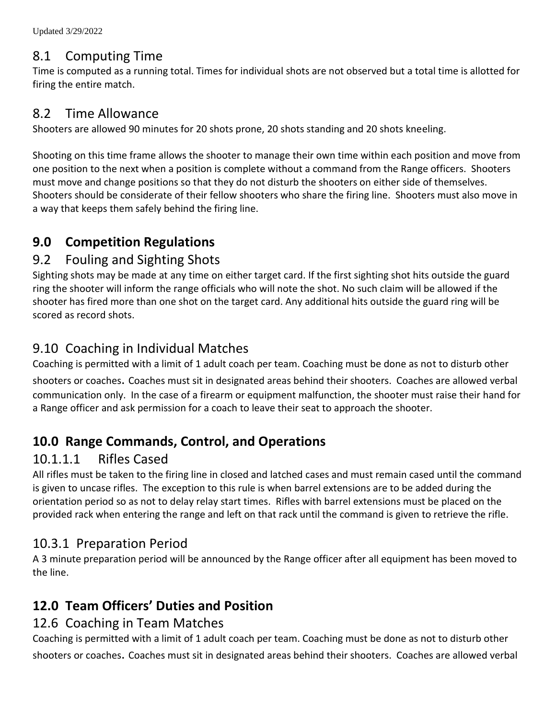# 8.1 Computing Time

Time is computed as a running total. Times for individual shots are not observed but a total time is allotted for firing the entire match.

### 8.2 Time Allowance

Shooters are allowed 90 minutes for 20 shots prone, 20 shots standing and 20 shots kneeling.

Shooting on this time frame allows the shooter to manage their own time within each position and move from one position to the next when a position is complete without a command from the Range officers. Shooters must move and change positions so that they do not disturb the shooters on either side of themselves. Shooters should be considerate of their fellow shooters who share the firing line. Shooters must also move in a way that keeps them safely behind the firing line.

# **9.0 Competition Regulations**

## 9.2 Fouling and Sighting Shots

Sighting shots may be made at any time on either target card. If the first sighting shot hits outside the guard ring the shooter will inform the range officials who will note the shot. No such claim will be allowed if the shooter has fired more than one shot on the target card. Any additional hits outside the guard ring will be scored as record shots.

# 9.10 Coaching in Individual Matches

Coaching is permitted with a limit of 1 adult coach per team. Coaching must be done as not to disturb other shooters or coaches. Coaches must sit in designated areas behind their shooters. Coaches are allowed verbal communication only. In the case of a firearm or equipment malfunction, the shooter must raise their hand for a Range officer and ask permission for a coach to leave their seat to approach the shooter.

# **10.0 Range Commands, Control, and Operations**

## 10.1.1.1 Rifles Cased

All rifles must be taken to the firing line in closed and latched cases and must remain cased until the command is given to uncase rifles. The exception to this rule is when barrel extensions are to be added during the orientation period so as not to delay relay start times. Rifles with barrel extensions must be placed on the provided rack when entering the range and left on that rack until the command is given to retrieve the rifle.

# 10.3.1 Preparation Period

A 3 minute preparation period will be announced by the Range officer after all equipment has been moved to the line.

# **12.0 Team Officers' Duties and Position**

## 12.6 Coaching in Team Matches

Coaching is permitted with a limit of 1 adult coach per team. Coaching must be done as not to disturb other shooters or coaches. Coaches must sit in designated areas behind their shooters. Coaches are allowed verbal